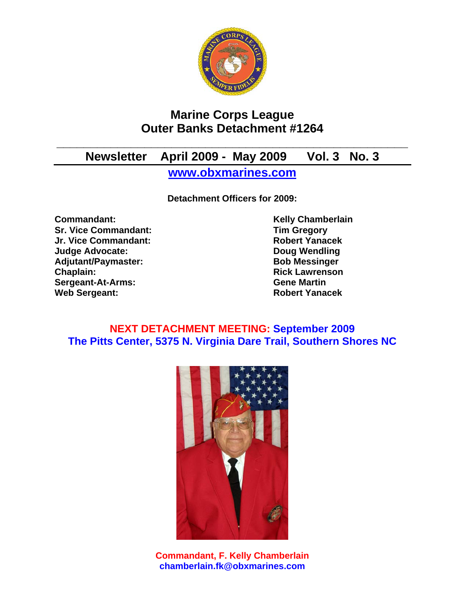

# **Marine Corps League Outer Banks Detachment #1264**

# **\_\_\_\_\_\_\_\_\_\_\_\_\_\_\_\_\_\_\_\_\_\_\_\_\_\_\_\_\_\_\_\_\_\_\_\_\_\_\_\_\_\_\_\_\_\_\_\_\_\_\_\_ Newsletter April 2009 - May 2009 Vol. 3 No. 3**

**www.obxmarines.com**

**Detachment Officers for 2009:** 

**Commandant:** Commandant: Kelly Chamberlain **Sr. Vice Commandant:** Tim Gregory<br>
Jr. Vice Commandant: The School of The Robert Yanacek **Jr. Vice Commandant: Judge Advocate: Doug Wendling**  Adjutant/Paymaster: Bob Messinger **Chaplain: Chaplain: Rick Lawrenson Sergeant-At-Arms: Gene Martin Web Sergeant: Robert Yanacek** 

## **NEXT DETACHMENT MEETING: September 2009 The Pitts Center, 5375 N. Virginia Dare Trail, Southern Shores NC**



**Commandant, F. Kelly Chamberlain chamberlain.fk@obxmarines.com**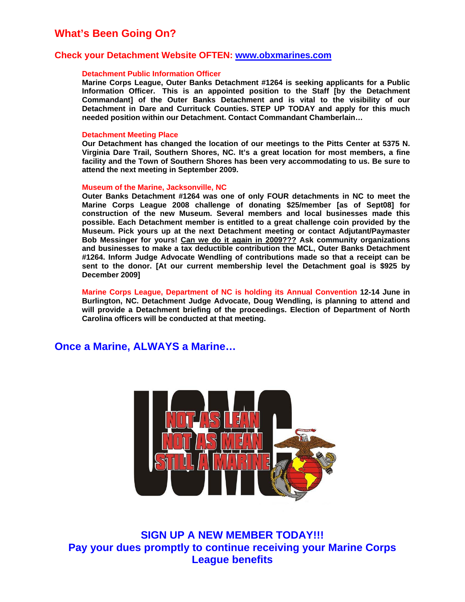## **What's Been Going On?**

### **Check your Detachment Website OFTEN: www.obxmarines.com**

#### **Detachment Public Information Officer**

**Marine Corps League, Outer Banks Detachment #1264 is seeking applicants for a Public Information Officer. This is an appointed position to the Staff [by the Detachment Commandant] of the Outer Banks Detachment and is vital to the visibility of our Detachment in Dare and Currituck Counties. STEP UP TODAY and apply for this much needed position within our Detachment. Contact Commandant Chamberlain…** 

#### **Detachment Meeting Place**

**Our Detachment has changed the location of our meetings to the Pitts Center at 5375 N. Virginia Dare Trail, Southern Shores, NC. It's a great location for most members, a fine facility and the Town of Southern Shores has been very accommodating to us. Be sure to attend the next meeting in September 2009.** 

#### **Museum of the Marine, Jacksonville, NC**

**Outer Banks Detachment #1264 was one of only FOUR detachments in NC to meet the Marine Corps League 2008 challenge of donating \$25/member [as of Sept08] for construction of the new Museum. Several members and local businesses made this possible. Each Detachment member is entitled to a great challenge coin provided by the Museum. Pick yours up at the next Detachment meeting or contact Adjutant/Paymaster Bob Messinger for yours! Can we do it again in 2009??? Ask community organizations and businesses to make a tax deductible contribution the MCL, Outer Banks Detachment #1264. Inform Judge Advocate Wendling of contributions made so that a receipt can be sent to the donor. [At our current membership level the Detachment goal is \$925 by December 2009]** 

**Marine Corps League, Department of NC is holding its Annual Convention 12-14 June in Burlington, NC. Detachment Judge Advocate, Doug Wendling, is planning to attend and will provide a Detachment briefing of the proceedings. Election of Department of North Carolina officers will be conducted at that meeting.** 

## **Once a Marine, ALWAYS a Marine…**



**SIGN UP A NEW MEMBER TODAY!!! Pay your dues promptly to continue receiving your Marine Corps League benefits**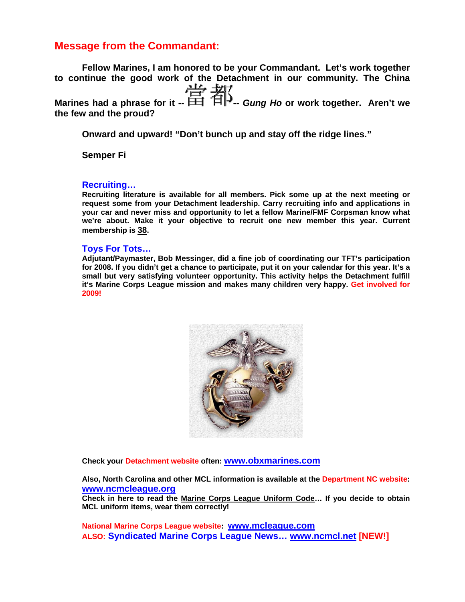## **Message from the Commandant:**

**Fellow Marines, I am honored to be your Commandant. Let's work together to continue the good work of the Detachment in our community. The China Marines had a phrase for it --**  $\frac{114}{111}$   $\frac{117}{111}$  *Gung Ho* or work together. Aren't we **the few and the proud?** 

**Onward and upward! "Don't bunch up and stay off the ridge lines."** 

**Semper Fi** 

## **Recruiting…**

**Recruiting literature is available for all members. Pick some up at the next meeting or request some from your Detachment leadership. Carry recruiting info and applications in your car and never miss and opportunity to let a fellow Marine/FMF Corpsman know what we're about. Make it your objective to recruit one new member this year. Current membership is 38.** 

### **Toys For Tots…**

**Adjutant/Paymaster, Bob Messinger, did a fine job of coordinating our TFT's participation for 2008. If you didn't get a chance to participate, put it on your calendar for this year. It's a small but very satisfying volunteer opportunity. This activity helps the Detachment fulfill it's Marine Corps League mission and makes many children very happy. Get involved for 2009!**



**Check your Detachment website often: www.obxmarines.com**

**Also, North Carolina and other MCL information is available at the Department NC website: www.ncmcleague.org**

**Check in here to read the Marine Corps League Uniform Code… If you decide to obtain MCL uniform items, wear them correctly!** 

**National Marine Corps League website: www.mcleague.com ALSO: Syndicated Marine Corps League News… www.ncmcl.net [NEW!]**